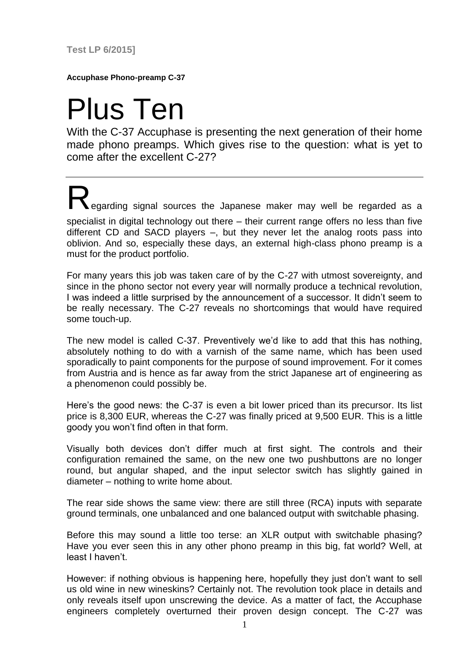**Test LP 6/2015]**

**Accuphase Phono-preamp C-37**

## Plus Ten

With the C-37 Accuphase is presenting the next generation of their home made phono preamps. Which gives rise to the question: what is yet to come after the excellent C-27?

**Regarding signal sources the Japanese maker may well be regarded as a** specialist in digital technology out there – their current range offers no less than five different CD and SACD players –, but they never let the analog roots pass into oblivion. And so, especially these days, an external high-class phono preamp is a must for the product portfolio.

For many years this job was taken care of by the C-27 with utmost sovereignty, and since in the phono sector not every year will normally produce a technical revolution, I was indeed a little surprised by the announcement of a successor. It didn't seem to be really necessary. The C-27 reveals no shortcomings that would have required some touch-up.

The new model is called C-37. Preventively we'd like to add that this has nothing, absolutely nothing to do with a varnish of the same name, which has been used sporadically to paint components for the purpose of sound improvement. For it comes from Austria and is hence as far away from the strict Japanese art of engineering as a phenomenon could possibly be.

Here's the good news: the C-37 is even a bit lower priced than its precursor. Its list price is 8,300 EUR, whereas the C-27 was finally priced at 9,500 EUR. This is a little goody you won't find often in that form.

Visually both devices don't differ much at first sight. The controls and their configuration remained the same, on the new one two pushbuttons are no longer round, but angular shaped, and the input selector switch has slightly gained in diameter – nothing to write home about.

The rear side shows the same view: there are still three (RCA) inputs with separate ground terminals, one unbalanced and one balanced output with switchable phasing.

Before this may sound a little too terse: an XLR output with switchable phasing? Have you ever seen this in any other phono preamp in this big, fat world? Well, at least I haven't.

However: if nothing obvious is happening here, hopefully they just don't want to sell us old wine in new wineskins? Certainly not. The revolution took place in details and only reveals itself upon unscrewing the device. As a matter of fact, the Accuphase engineers completely overturned their proven design concept. The C-27 was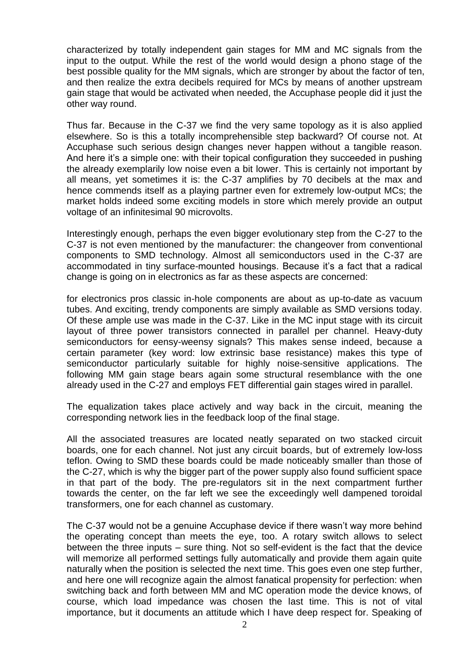characterized by totally independent gain stages for MM and MC signals from the input to the output. While the rest of the world would design a phono stage of the best possible quality for the MM signals, which are stronger by about the factor of ten, and then realize the extra decibels required for MCs by means of another upstream gain stage that would be activated when needed, the Accuphase people did it just the other way round.

Thus far. Because in the C-37 we find the very same topology as it is also applied elsewhere. So is this a totally incomprehensible step backward? Of course not. At Accuphase such serious design changes never happen without a tangible reason. And here it's a simple one: with their topical configuration they succeeded in pushing the already exemplarily low noise even a bit lower. This is certainly not important by all means, yet sometimes it is: the C-37 amplifies by 70 decibels at the max and hence commends itself as a playing partner even for extremely low-output MCs; the market holds indeed some exciting models in store which merely provide an output voltage of an infinitesimal 90 microvolts.

Interestingly enough, perhaps the even bigger evolutionary step from the C-27 to the C-37 is not even mentioned by the manufacturer: the changeover from conventional components to SMD technology. Almost all semiconductors used in the C-37 are accommodated in tiny surface-mounted housings. Because it's a fact that a radical change is going on in electronics as far as these aspects are concerned:

for electronics pros classic in-hole components are about as up-to-date as vacuum tubes. And exciting, trendy components are simply available as SMD versions today. Of these ample use was made in the C-37. Like in the MC input stage with its circuit layout of three power transistors connected in parallel per channel. Heavy-duty semiconductors for eensy-weensy signals? This makes sense indeed, because a certain parameter (key word: low extrinsic base resistance) makes this type of semiconductor particularly suitable for highly noise-sensitive applications. The following MM gain stage bears again some structural resemblance with the one already used in the C-27 and employs FET differential gain stages wired in parallel.

The equalization takes place actively and way back in the circuit, meaning the corresponding network lies in the feedback loop of the final stage.

All the associated treasures are located neatly separated on two stacked circuit boards, one for each channel. Not just any circuit boards, but of extremely low-loss teflon. Owing to SMD these boards could be made noticeably smaller than those of the C-27, which is why the bigger part of the power supply also found sufficient space in that part of the body. The pre-regulators sit in the next compartment further towards the center, on the far left we see the exceedingly well dampened toroidal transformers, one for each channel as customary.

The C-37 would not be a genuine Accuphase device if there wasn't way more behind the operating concept than meets the eye, too. A rotary switch allows to select between the three inputs – sure thing. Not so self-evident is the fact that the device will memorize all performed settings fully automatically and provide them again quite naturally when the position is selected the next time. This goes even one step further, and here one will recognize again the almost fanatical propensity for perfection: when switching back and forth between MM and MC operation mode the device knows, of course, which load impedance was chosen the last time. This is not of vital importance, but it documents an attitude which I have deep respect for. Speaking of